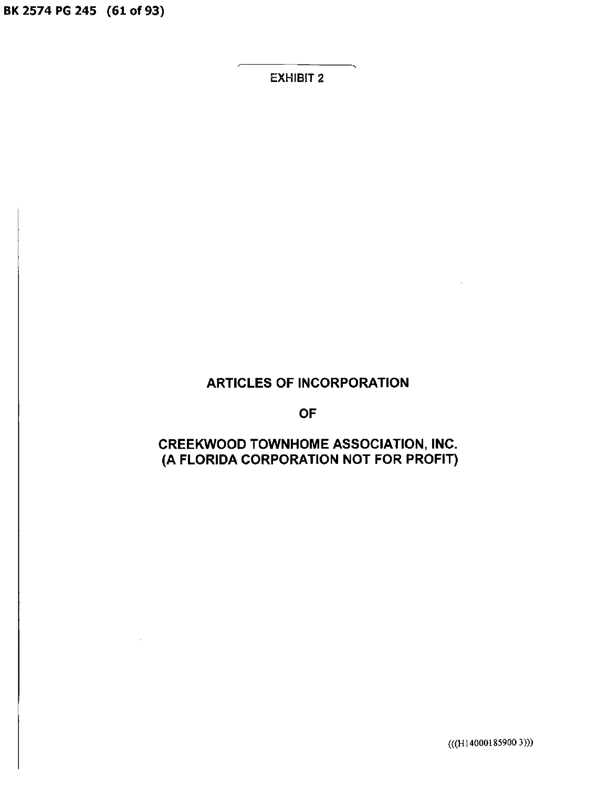BK 2574 PG 245 (61 of 93)

EXHIBIT 2

# ARTICLES OF INCORPORATION

OF

## CREEKWOOD TOWNHOME ASSOCIATION, INC. (A FLORIDA CORPORATION NOT FOR PROFIT)

(((H14000185900 3)))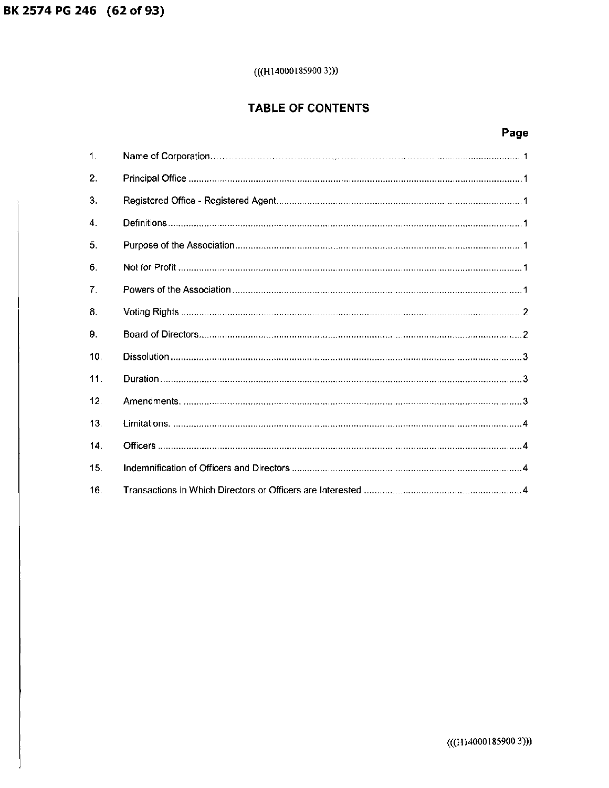## $(((H140001859003)))$

## TABLE OF CONTENTS

# Page

| $\mathbf 1$ .   |  |
|-----------------|--|
| 2.              |  |
| 3.              |  |
| 4.              |  |
| 5.              |  |
| 6.              |  |
| $\mathbf{7}$ .  |  |
| 8.              |  |
| 9.              |  |
| 10.             |  |
| 11.             |  |
| 12 <sub>1</sub> |  |
| 13.             |  |
| 14.             |  |
| 15.             |  |
| 16.             |  |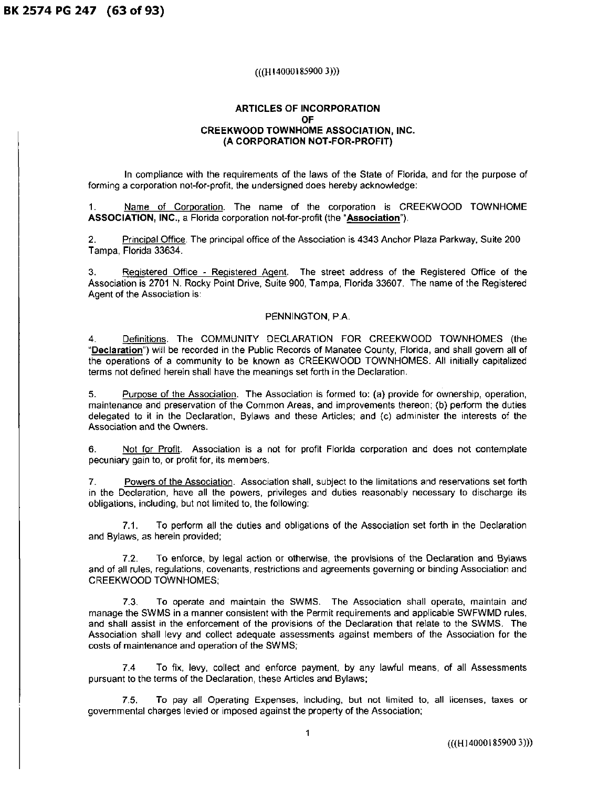**BK 2574 PG 247 (63 of 93)** 

#### (((HI4000185900 3)))

#### **ARTICLES OF INCORPORATION OF CREEKWOOD TOWNHOME ASSOCIATION, INC. (A CORPORATION NOT-FOR-PROFIT)**

In compliance with the requirements of the laws of the State of Florida, and for the purpose of forming a corporation not-for-profit, the undersigned does hereby acknowledge:

1. Name of Corporation. The name of the corporation is CREEKWOOD TOWNHOME **ASSOCIATION, INC.,** a Florida corporation not-for-profit (the **"Association").** 

2. Principal Office. The principal office of the Association is 4343 Anchor Plaza Parkway, Suite 200 Tampa, Florida 33634.

3. Registered Office - Registered Agent. The street address of the Registered Office of the Association is 2701 N. Rocky Point Drive, Suite 900, Tampa, Florida 33607. The name of the Registered Agent of the Association is:

#### PENNINGTON, P.A.

4. Definitions. The COMMUNITY DECLARATION FOR CREEKWOOD TOWNHOMES (the **"Declaration")** will be recorded in the Public Records of Manatee County, Florida, and shall govern all of the operations of a community to be known as CREEKWOOD TOWNHOMES. All initially capitalized terms not defined herein shall have the meanings set forth in the Declaration.

5. Purpose of the Association. The Association is formed to: (a) provide for ownership, operation, maintenance and preservation of the Common Areas, and improvements thereon; (b) perform the duties delegated to it in the Declaration, Bylaws and these Articles; and (c) administer the interests of the Association and the Owners.

6. Not for Profit. Association is a not for profit Florida corporation and does not contemplate pecuniary gain to, or profit for, its members.

7. Powers of the Association. Association shall, subject to the limitations and reservations set forth in the Declaration, have all the powers, privileges and duties reasonably necessary to discharge its obligations, including, but not limited to, the following:

7.1. To perform all the duties and obligations of the Association set forth in the Declaration and Bylaws, as herein provided;

7.2. To enforce, by legal action or otherwise, the provisions of the Declaration and Bylaws and of all rules, regulations, covenants, restrictions and agreements governing or binding Association and CREEKWOOD TOWNHOMES;

7.3. To operate and maintain the SWMS. The Association shall operate, maintain and manage the SWMS in a manner consistent with the Permit requirements and applicable SWFWMD rules, and shall assist in the enforcement of the provisions of the Declaration that relate to the SWMS. The Association shall levy and collect adequate assessments against members of the Association for the costs of maintenance and operation of the SWMS;

7.4 To fix, levy, collect and enforce payment, by any lawful means, of all Assessments pursuant to the terms of the Declaration, these Articles and Bylaws;

7.5. To pay all Operating Expenses, including, but not limited to, all licenses, taxes or governmental charges levied or imposed against the property of the Association;

(((Hl4000185900 3)))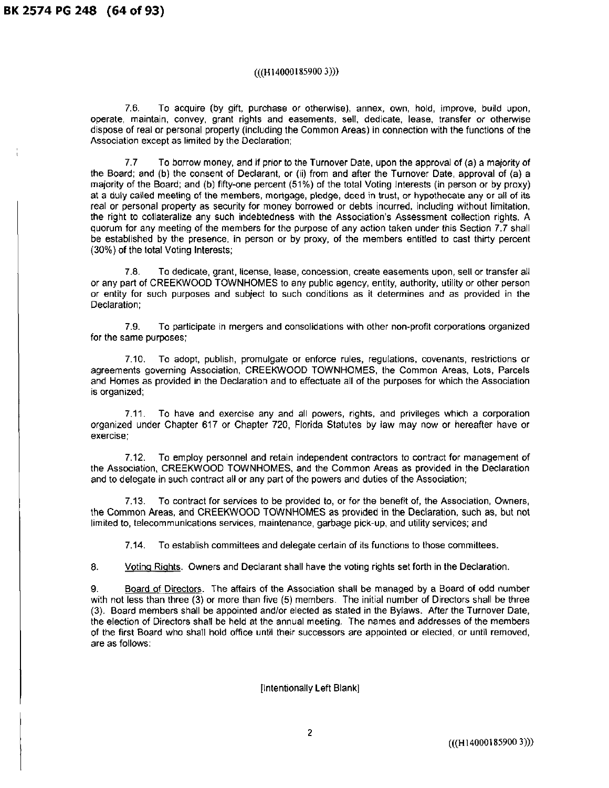#### (((Hl4000185900 3)))

7.6. To acquire (by gift, purchase or otherwise), annex, own, hold, improve, build upon, operate, maintain, convey, grant rights and easements, sell, dedicate, lease, transfer or otherwise dispose of real or personal property (including the Common Areas) in connection with the functions of the Association except as limited by the Declaration;

7.7 To borrow money, and if prior to the Turnover Date, upon the approval of (a) a majority of the Board; and (b) the consent of Declarant, or (ii) from and after the Turnover Date, approval of (a) a majority of the Board; and (b) fifty-one percent (51%) of the total Voting Interests (in person or by proxy) at a duly called meeting of the members, mortgage, pledge, deed in trust, or hypothecate any or all of its real or personal property as security for money borrowed or debts incurred, including without limitation, the right to collateralize any such indebtedness with the Association's Assessment collection rights. A quorum for any meeting of the members for the purpose of any action taken under this Section 7.7 shall be established by the presence, in person or by proxy, of the members entitled to cast thirty percent (30%) of the total Voting Interests;

7.8. To dedicate, grant, license, lease, concession, create easements upon, sell or transfer all or any part of CREEKWOOD TOWNHOMES to any public agency, entity, authority, utility or other person or entity for such purposes and subject to such conditions as it determines and as provided in the Declaration;

7.9. To participate in mergers and consolidations with other non-profit corporations organized for the same purposes;

7.10. To adopt, publish, promulgate or enforce rules, regulations, covenants, restrictions or agreements governing Association, CREEKWOOD TOWNHOMES, the Common Areas, Lots, Parcels and Homes as provided in the Declaration and to effectuate all of the purposes for which the Association is organized;

7 .11. To have and exercise any and all powers, rights, and privileges which a corporation organized under Chapter 617 or Chapter 720, Florida Statutes by law may now or hereafter have or exercise;

7.12. To employ personnel and retain independent contractors to contract for management of the Association, CREEKWOOD TOWNHOMES, and the Common Areas as provided in the Declaration and to delegate in such contract all or any part of the powers and duties of the Association;

7 .13. To contract for services to be provided to, or for the benefit of, the Association, Owners, the Common Areas, and CREEKWOOD TOWNHOMES as provided in the Declaration, such as, but not limited to, telecommunications services, maintenance, garbage pick-up, and utility services; and

7.14. To establish committees and delegate certain of its functions to those committees.

8. Voting Rights. Owners and Declarant shall have the voting rights set forth in the Declaration.

9. Board of Directors. The affairs of the Association shall be managed by a Board of odd number with not less than three (3) or more than five (5) members. The initial number of Directors shall be three (3). Board members shall be appointed and/or elected as stated in the Bylaws. After the Turnover Date, the election of Directors shall be held at the annual meeting. The names and addresses of the members of the first Board who shall hold office until their successors are appointed or elected, or until removed, are as follows:

[Intentionally Left Blank]

(((H 14000185900 3)))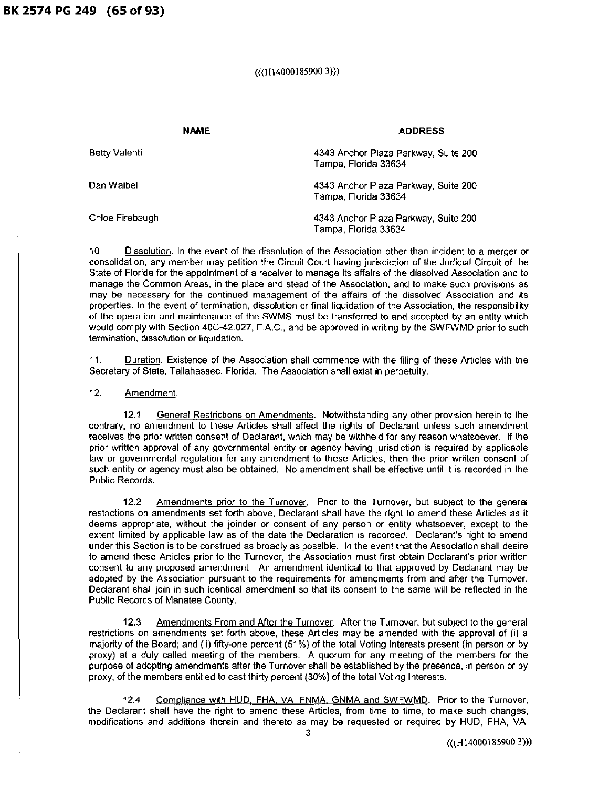**BK 2574 PG 249 (65 of 93)** 

### (((H14000185900 3)))

| <b>NAME</b>     | <b>ADDRESS</b>                                               |  |  |
|-----------------|--------------------------------------------------------------|--|--|
| Betty Valenti   | 4343 Anchor Plaza Parkway, Suite 200<br>Tampa, Florida 33634 |  |  |
| Dan Waibel      | 4343 Anchor Plaza Parkway, Suite 200<br>Tampa, Florida 33634 |  |  |
| Chloe Firebaugh | 4343 Anchor Plaza Parkway, Suite 200<br>Tampa, Florida 33634 |  |  |

10. Dissolution. In the event of the dissolution of the Association other than incident to a merger or consolidation, any member may petition the Circuit Court having jurisdiction of the Judicial Circuit of the State of Florida for the appointment of a receiver to manage its affairs of the dissolved Association and to manage the Common Areas, in the place and stead of the Association, and to make such provisions as may be necessary for the continued management of the affairs of the dissolved Association and its properties. In the event of termination, dissolution or final liquidation of the Association, the responsibility of the operation and maintenance of the SWMS must be transferred to and accepted by an entity which would comply with Section 40C-42.027, F.A.C., and be approved in writing by the SWFWMD prior to such termination, dissolution or liquidation.

11. Duration. Existence of the Association shall commence with the filing of these Articles with the Secretary of State, Tallahassee, Florida. The Association shall exist in perpetuity.

#### 12. Amendment.

12.1 General Restrictions on Amendments. Notwithstanding any other provision herein to the contrary, no amendment to these Articles shall affect the rights of Declarant unless such amendment receives the prior written consent of Declarant, which may be withheld for any reason whatsoever. If the prior written approval of any governmental entity or agency having jurisdiction is required by applicable law or governmental regulation for any amendment to these Articles, then the prior written consent of such entity or agency must also be obtained. No amendment shall be effective until it is recorded in the Public Records.

12.2 Amendments prior to the Turnover. Prior to the Turnover, but subject to the general restrictions on amendments set forth above, Declarant shall have the right to amend these Articles as it deems appropriate, without the joinder or consent of any person or entity whatsoever, except to the extent limited by applicable law as of the date the Declaration is recorded. Declarant's right to amend under this Section is to be construed as broadly as possible. In the event that the Association shall desire to amend these Articles prior to the Turnover, the Association must first obtain Declarant's prior written consent to any proposed amendment. An amendment identical to that approved by Declarant may be adopted by the Association pursuant to the requirements for amendments from and after the Turnover. Declarant shall join in such identical amendment so that its consent to the same will be reflected in the Public Records of Manatee County.

12.3 Amendments From and After the Turnover. After the Turnover, but subject to the general restrictions on amendments set forth above, these Articles may be amended with the approval of (i) a majority of the Board; and (ii) fifty-one percent (51%) of the total Voting Interests present (in person or by proxy) at a duly called meeting of the members. A quorum for any meeting of the members for the purpose of adopting amendments after the Turnover shall be established by the presence, in person or by proxy, of the members entitled to cast thirty percent (30%) of the total Voting Interests.

12.4 Compliance with HUD, FHA, VA, FNMA, GNMA and SWFWMD. Prior to the Turnover, the Declarant shall have the right to amend these Articles, from time to time, to make such changes, modifications and additions therein and thereto as may be requested or required by HUD, FHA, VA,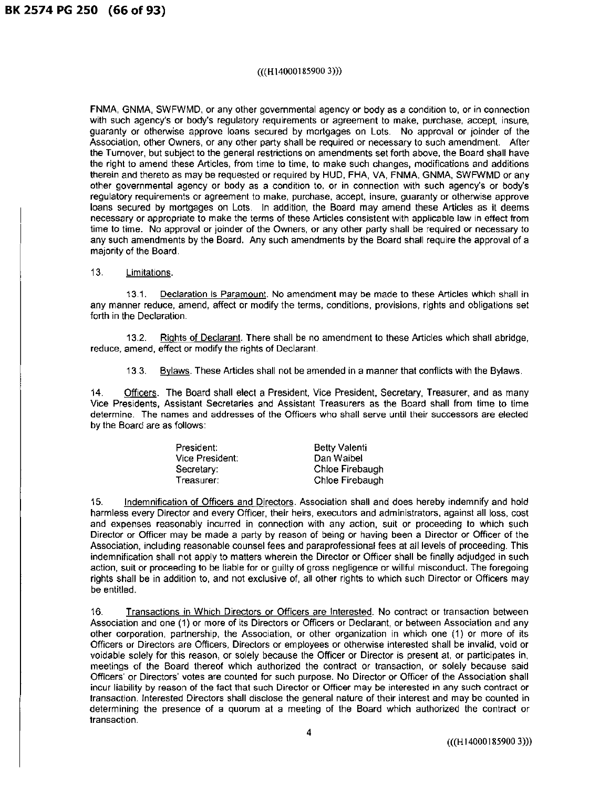#### (((H14000185900 3)))

FNMA, GNMA, SWFWMD, or any other governmental agency or body as a condition to, or in connection with such agency's or body's regulatory requirements or agreement to make, purchase, accept, insure, guaranty or otherwise approve loans secured by mortgages on Lots. No approval or joinder of the Association, other Owners, or any other party shall be required or necessary to such amendment. After the Turnover, but subject to the general restrictions on amendments set forth above, the Board shall have the right to amend these Articles, from time to time, to make such changes, modifications and additions therein and thereto as may be requested or required by HUD, FHA, VA, FNMA, GNMA, SWFWMD or any other governmental agency or body as a condition to, or in connection with such agency's or body's regulatory requirements or agreement to make, purchase, accept, insure, guaranty or otherwise approve loans secured by mortgages on Lots. In addition, the Board may amend these Articles as it deems necessary or appropriate to make the terms of these Articles consistent with applicable law in effect from time to time. No approval or joinder of the Owners, or any other party shall be required or necessary to any such amendments by the Board. Any such amendments by the Board shall require the approval of a majority of the Board.

13. Limitations.

13.1. Declaration is Paramount. No amendment may be made to these Articles which shall in any manner reduce, amend, affect or modify the terms, conditions, provisions, rights and obligations set forth in the Declaration.

13.2. Rights of Declarant. There shall be no amendment to these Articles which shall abridge, reduce, amend, effect or modify the rights of Declarant.

13.3. Bylaws. These Articles shall not be amended in a manner that conflicts with the Bylaws.

14. Officers. The Board shall elect a President, Vice President, Secretary, Treasurer, and as many Vice Presidents, Assistant Secretaries and Assistant Treasurers as the Board shall from time to time determine. The names and addresses of the Officers who shall serve until their successors are elected by the Board are as follows:

| President:      | <b>Betty Valenti</b> |
|-----------------|----------------------|
| Vice President: | Dan Waibel           |
| Secretary: I    | Chloe Firebaugh      |
| Treasurer:      | Chloe Firebaugh      |

15. Indemnification of Officers and Directors. Association shall and does hereby indemnify and hold harmless every Director and every Officer, their heirs, executors and administrators, against all loss, cost and expenses reasonably incurred in connection with any action, suit or proceeding to which such Director or Officer may be made a party by reason of being or having been a Director or Officer of the Association, including reasonable counsel fees and paraprofessional fees at all levels of proceeding. This indemnification shall not apply to matters wherein the Director or Officer shall be finally adjudged in such action, suit or proceeding to be liable for or guilty of gross negligence or willful misconduct. The foregoing rights shall be in addition to, and not exclusive of, all other rights to which such Director or Officers may be entitled.

16. Transactions in Which Directors or Officers are Interested. No contract or transaction between Association and one (1) or more of its Directors or Officers or Declarant, or between Association and any other corporation, partnership, the Association, or other organization in which one (1) or more of its Officers or Directors are Officers, Directors or employees or otherwise interested shall be invalid, void or voidable solely for this reason, or solely because the Officer or Director is present at, or participates in, meetings of the Board thereof which authorized the contract or transaction, or solely because said Officers' or Directors' votes are counted for such purpose. No Director or Officer of the Association shall incur liability by reason of the fact that such Director or Officer may be interested in any such contract or transaction. Interested Directors shall disclose the general nature of their interest and may be counted in determining the presence of a quorum at a meeting of the Board which authorized the contract or transaction.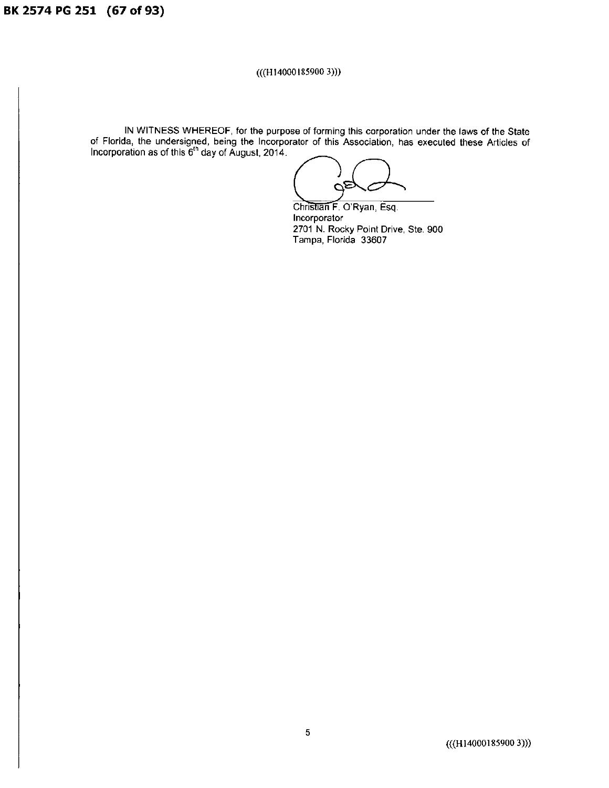**BK 2574 PG 251 (67 of** 93)

### (((H14000185900 3)))

IN WITNESS WHEREOF, for the purpose of forming this corporation under the laws of the State of Florida, the undersigned, being the Incorporator of this Association, has executed these Articles of IN WITNESS WHEREOF, for the purpose of forming this corporation under<br>of Florida, the undersigned, being the Incorporator of this Association, has executed<br>incorporation as of this  $6<sup>th</sup>$  day of August, 2014.

Christian F. O'Ryan, Esq. Incorporator 2701 N. Rocky Point Drive, Ste. 900 Tampa, Florida 33607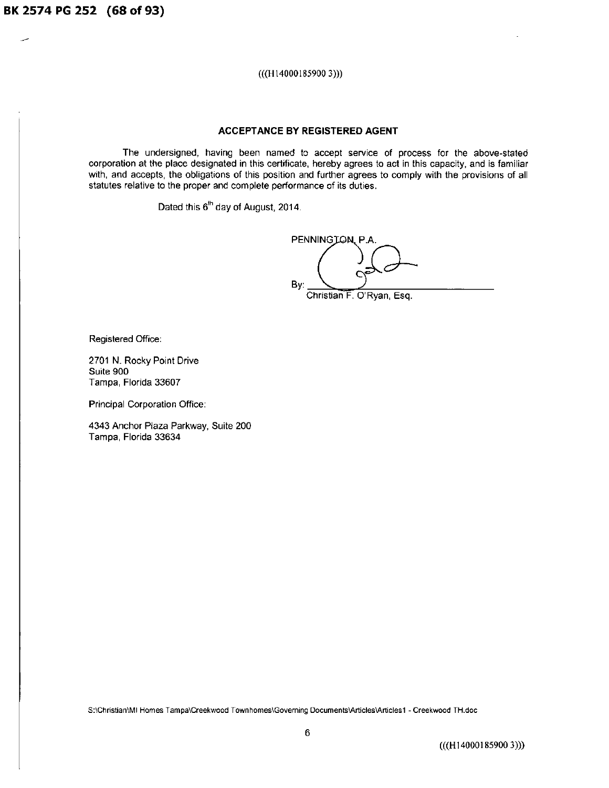**BK 2574 PG 252 (68 of 93)** 

(((Hl4000185900 3)))

### **ACCEPTANCE BY REGISTERED AGENT**

The undersigned, having been named to accept service of process for the above-stated corporation at the place designated in this certificate, hereby agrees to act in this capacity, and is familiar with, and accepts, the obligations of this position and further agrees to comply with the provisions of all statutes relative to the proper and complete performance of its duties.

Dated this  $6<sup>th</sup>$  day of August, 2014.

PENNINGJON, P.A. By: Christian F. O'Ryan, Esq.

Registered Office:

2701 N. Rocky Point Drive Suite 900 Tampa, Florida 33607

Principal Corporation Office:

4343 Anchor Plaza Parkway, Suite 200 Tampa, Florida 33634

S:\Christian\MI Homes Tampa\Creekwood Townhomes\Governing Documents\Articles\Articles1 - Creekwood TH.doc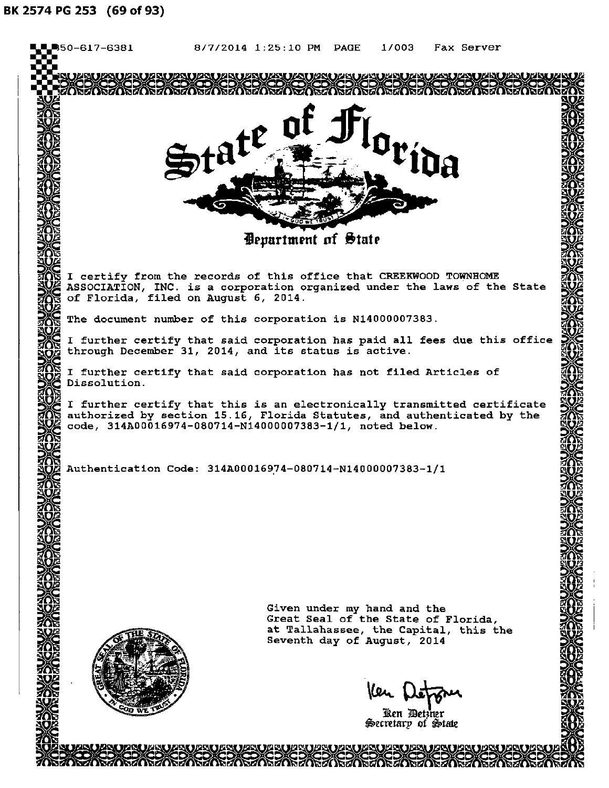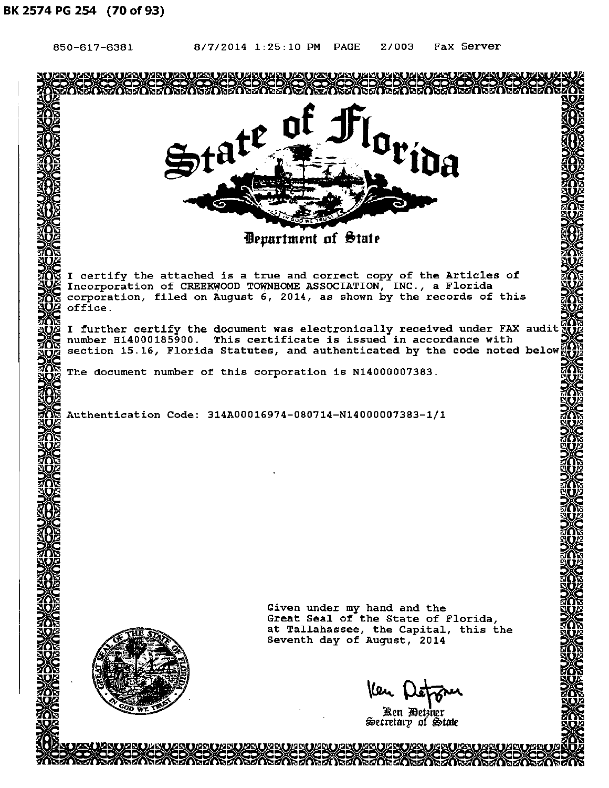| 850-617-6381 | 8/7/2014 1:25:10 PM PAGE<br>2/003<br>Fax Server                                                                                                   |  |
|--------------|---------------------------------------------------------------------------------------------------------------------------------------------------|--|
|              | ZAUZAUZAUZAUZAUZAUZAUZ                                                                                                                            |  |
|              |                                                                                                                                                   |  |
|              | $\mathfrak{gl}$                                                                                                                                   |  |
|              |                                                                                                                                                   |  |
|              | $\mathfrak{F}t^{at}$                                                                                                                              |  |
|              |                                                                                                                                                   |  |
|              |                                                                                                                                                   |  |
|              |                                                                                                                                                   |  |
|              | <b><i>Department of State</i></b>                                                                                                                 |  |
|              |                                                                                                                                                   |  |
|              | I certify the attached is a true and correct copy of the Articles of<br>Incorporation of CREEKWOOD TOWNHOME ASSOCIATION, INC., a Florida          |  |
|              | corporation, filed on August 6, 2014, as shown by the records of this                                                                             |  |
| office.      |                                                                                                                                                   |  |
|              | I further certify the document was electronically received under FAX audit!<br>number H14000185900. This certificate is issued in accordance with |  |
|              | section 15.16, Florida Statutes, and authenticated by the code noted below                                                                        |  |
|              | The document number of this corporation is N14000007383.                                                                                          |  |
|              |                                                                                                                                                   |  |
|              | Authentication Code: 314A00016974-080714-N14000007383-1/1                                                                                         |  |
|              |                                                                                                                                                   |  |
|              |                                                                                                                                                   |  |
|              |                                                                                                                                                   |  |
|              |                                                                                                                                                   |  |
|              |                                                                                                                                                   |  |
|              |                                                                                                                                                   |  |
|              |                                                                                                                                                   |  |
|              |                                                                                                                                                   |  |
|              |                                                                                                                                                   |  |
|              | Given under my hand and the<br>Great Seal of the State of Florida,                                                                                |  |
|              | at Tallahassee, the Capital, this the                                                                                                             |  |
|              | Seventh day of August, 2014                                                                                                                       |  |
|              |                                                                                                                                                   |  |
|              | Ken p                                                                                                                                             |  |
|              | Ken Detzner                                                                                                                                       |  |
|              | Secretary of State                                                                                                                                |  |
|              | AIGUT HAGUT YAGUT UAGUT VAGUT WAGUT HAGUT WAGUT WAGUT WAGUT WAGUT WAGUT WAGUT.                                                                    |  |

RRACK-REKENERE REKENERE KERENE KERENE KERENE KERENE